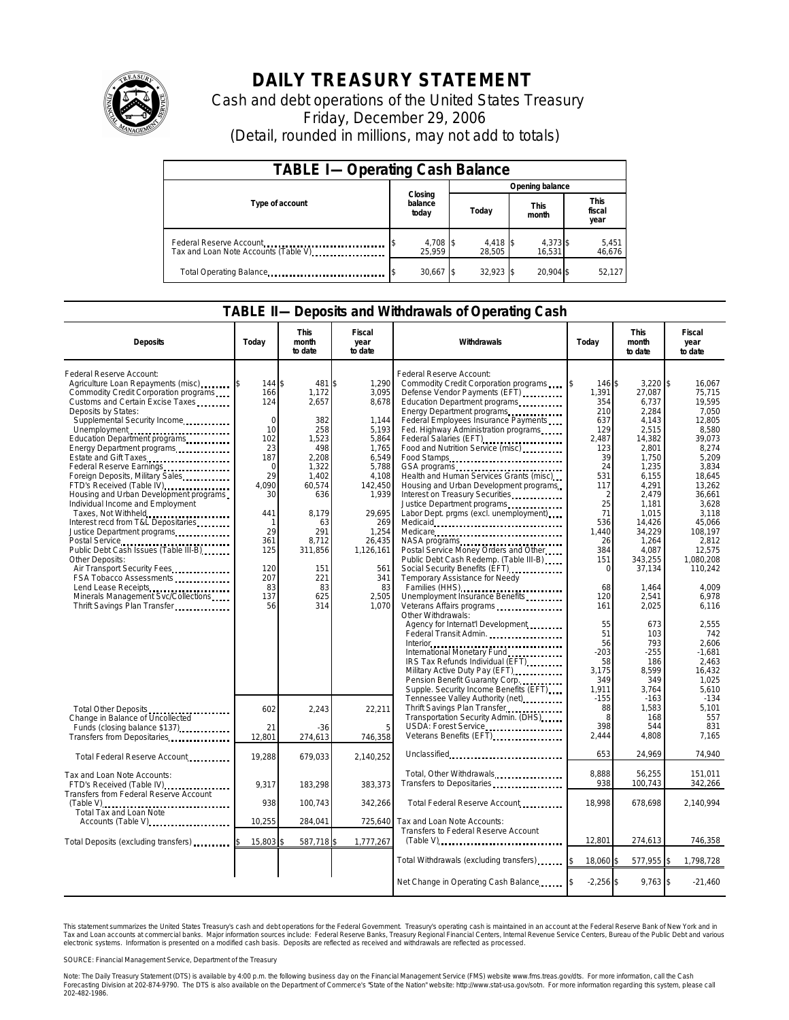

## **DAILY TREASURY STATEMENT**

Cash and debt operations of the United States Treasury Friday, December 29, 2006 (Detail, rounded in millions, may not add to totals)

| <b>TABLE I-Operating Cash Balance</b>                           |                             |                    |                      |                               |  |  |  |
|-----------------------------------------------------------------|-----------------------------|--------------------|----------------------|-------------------------------|--|--|--|
|                                                                 |                             | Opening balance    |                      |                               |  |  |  |
| Type of account                                                 | Closing<br>balance<br>today | Today              | <b>This</b><br>month | <b>This</b><br>fiscal<br>year |  |  |  |
| Federal Reserve Account<br>Tax and Loan Note Accounts (Table V) | 4,708 \$<br>25.959          | 4,418 \$<br>28.505 | 4,373 \$<br>16.531   | 5,451<br>46,676               |  |  |  |
| Total Operating Balance                                         | $30,667$ \$                 | $32.923$ \$        | 20.904 \$            | 52,127                        |  |  |  |

## **TABLE II—Deposits and Withdrawals of Operating Cash**

| <b>Deposits</b>                                                                                                                                                                                                                                                                                                                                                                                                                                                                                                                                                                                                                                                                                                                                                                                                           | Today                                                                                                                                                           | <b>This</b><br>month<br>to date                                                                                                                                             | <b>Fiscal</b><br>year<br>to date                                                                                                                                                                        | Withdrawals                                                                                                                                                                                                                                                                                                                                                                                                                                                                                                                                                                                                                                                                                                                                                                                            | Today                                                                                                                                                                         | <b>This</b><br>month<br>to date                                                                                                                                                                                                  | <b>Fiscal</b><br>year<br>to date                                                                                                                                                                                                       |
|---------------------------------------------------------------------------------------------------------------------------------------------------------------------------------------------------------------------------------------------------------------------------------------------------------------------------------------------------------------------------------------------------------------------------------------------------------------------------------------------------------------------------------------------------------------------------------------------------------------------------------------------------------------------------------------------------------------------------------------------------------------------------------------------------------------------------|-----------------------------------------------------------------------------------------------------------------------------------------------------------------|-----------------------------------------------------------------------------------------------------------------------------------------------------------------------------|---------------------------------------------------------------------------------------------------------------------------------------------------------------------------------------------------------|--------------------------------------------------------------------------------------------------------------------------------------------------------------------------------------------------------------------------------------------------------------------------------------------------------------------------------------------------------------------------------------------------------------------------------------------------------------------------------------------------------------------------------------------------------------------------------------------------------------------------------------------------------------------------------------------------------------------------------------------------------------------------------------------------------|-------------------------------------------------------------------------------------------------------------------------------------------------------------------------------|----------------------------------------------------------------------------------------------------------------------------------------------------------------------------------------------------------------------------------|----------------------------------------------------------------------------------------------------------------------------------------------------------------------------------------------------------------------------------------|
| Federal Reserve Account:<br>Agriculture Loan Repayments (misc)<br>Commodity Credit Corporation programs<br>Customs and Certain Excise Taxes<br>Deposits by States:<br>Supplemental Security Income<br>Unemployment<br>Education Department programs<br>Energy Department programs<br>Estate and Gift Taxes<br>Federal Reserve Earnings<br>Foreign Deposits, Military Sales<br>FTD's Received (Table IV)<br>Housing and Urban Development programs<br>Individual Income and Employment<br>Taxes, Not Withheld<br>Interest recd from T&L Depositaries<br>Justice Department programs.<br>Postal Service<br>Public Debt Cash Issues (Table III-B)<br>Other Deposits:<br>Air Transport Security Fees<br>FSA Tobacco Assessments<br>Lend Lease Receipts<br>Minerals Management Svc/Collections<br>Thrift Savings Plan Transfer | 144 \$<br>166<br>124<br>$\Omega$<br>10<br>102<br>23<br>187<br>$\mathbf 0$<br>29<br>4.090<br>30<br>441<br>1<br>29<br>361<br>125<br>120<br>207<br>83<br>137<br>56 | 481<br>1,172<br>2,657<br>382<br>258<br>1.523<br>498<br>2,208<br>1,322<br>1,402<br>60,574<br>636<br>8.179<br>63<br>291<br>8.712<br>311,856<br>151<br>221<br>83<br>625<br>314 | 1,290<br>\$<br>3,095<br>8,678<br>1,144<br>5.193<br>5.864<br>1,765<br>6,549<br>5,788<br>4,108<br>142,450<br>1,939<br>29.695<br>269<br>1,254<br>26,435<br>1,126,161<br>561<br>341<br>83<br>2,505<br>1.070 | Federal Reserve Account:<br>Commodity Credit Corporation programs<br>Defense Vendor Payments (EFT)<br>Education Department programs<br>Energy Department programs<br>Federal Employees Insurance Payments<br>Fed. Highway Administration programs<br>Federal Salaries (EFT)<br>Food and Nutrition Service (misc)<br>Food Stamps<br>Health and Human Services Grants (misc)<br>Housing and Urban Development programs<br>Interest on Treasury Securities<br>Justice Department programs<br>Labor Dept. prgms (excl. unemployment)<br>Medicare<br>NASA programs<br>Postal Service Money Orders and Other<br>Public Debt Cash Redemp. (Table III-B)<br>Social Security Benefits (EFT)<br>Temporary Assistance for Needy<br>Families (HHS)<br>Unemployment Insurance Benefits<br>Veterans Affairs programs | 146 \$<br>1,391<br>354<br>210<br>637<br>129<br>2.487<br>123<br>39<br>24<br>531<br>117<br>2<br>25<br>71<br>536<br>1,440<br>26<br>384<br>151<br>$\mathbf 0$<br>68<br>120<br>161 | $3,220$ \$<br>27,087<br>6,737<br>2,284<br>4.143<br>2,515<br>14,382<br>2,801<br>1,750<br>1,235<br>6,155<br>4,291<br>2,479<br>1,181<br>1,015<br>14,426<br>34,229<br>1,264<br>4.087<br>343,255<br>37,134<br>1,464<br>2,541<br>2.025 | 16.067<br>75,715<br>19,595<br>7.050<br>12.805<br>8.580<br>39.073<br>8,274<br>5.209<br>3,834<br>18,645<br>13,262<br>36,661<br>3,628<br>3.118<br>45,066<br>108.197<br>2.812<br>12.575<br>1,080,208<br>110,242<br>4.009<br>6,978<br>6.116 |
|                                                                                                                                                                                                                                                                                                                                                                                                                                                                                                                                                                                                                                                                                                                                                                                                                           |                                                                                                                                                                 |                                                                                                                                                                             |                                                                                                                                                                                                         | Other Withdrawals:<br>Agency for Internat'l Development<br>IRS Tax Refunds Individual (EFT)<br>Military Active Duty Pay (EFT) [1001]<br>Pension Benefit Guaranty Corp.<br>Supple. Security Income Benefits (EFT)                                                                                                                                                                                                                                                                                                                                                                                                                                                                                                                                                                                       | 55<br>51<br>56<br>$-203$<br>58<br>3,175<br>349<br>1,911<br>$-155$                                                                                                             | 673<br>103<br>793<br>$-255$<br>186<br>8,599<br>349<br>3,764<br>$-163$                                                                                                                                                            | 2,555<br>742<br>2.606<br>$-1.681$<br>2,463<br>16,432<br>1,025<br>5,610<br>$-134$                                                                                                                                                       |
| Total Other Deposits<br>Change in Balance of Uncollected<br>Funds (closing balance \$137)<br>Transfers from Depositaries                                                                                                                                                                                                                                                                                                                                                                                                                                                                                                                                                                                                                                                                                                  | 602<br>21<br>12.801                                                                                                                                             | 2,243<br>$-36$<br>274,613                                                                                                                                                   | 22,211<br>746,358                                                                                                                                                                                       | Tennessee Valley Authority (net)<br>Thrift Savings Plan Transfer<br>Transportation Security Admin. (DHS)<br>USDA: Forest Service<br>Veterans Benefits (EFT)                                                                                                                                                                                                                                                                                                                                                                                                                                                                                                                                                                                                                                            | 88<br>8<br>398<br>2,444                                                                                                                                                       | 1,583<br>168<br>544<br>4,808                                                                                                                                                                                                     | 5.101<br>557<br>831<br>7,165                                                                                                                                                                                                           |
| Total Federal Reserve Account                                                                                                                                                                                                                                                                                                                                                                                                                                                                                                                                                                                                                                                                                                                                                                                             | 19,288                                                                                                                                                          | 679,033                                                                                                                                                                     | 2,140,252                                                                                                                                                                                               | Unclassified                                                                                                                                                                                                                                                                                                                                                                                                                                                                                                                                                                                                                                                                                                                                                                                           | 653                                                                                                                                                                           | 24,969                                                                                                                                                                                                                           | 74,940                                                                                                                                                                                                                                 |
| Tax and Loan Note Accounts:<br>FTD's Received (Table IV)<br>Transfers from Federal Reserve Account                                                                                                                                                                                                                                                                                                                                                                                                                                                                                                                                                                                                                                                                                                                        | 9,317                                                                                                                                                           | 183,298                                                                                                                                                                     | 383,373                                                                                                                                                                                                 | Total, Other Withdrawals                                                                                                                                                                                                                                                                                                                                                                                                                                                                                                                                                                                                                                                                                                                                                                               | 8,888<br>938                                                                                                                                                                  | 56,255<br>100,743                                                                                                                                                                                                                | 151,011<br>342,266                                                                                                                                                                                                                     |
| Total Tax and Loan Note                                                                                                                                                                                                                                                                                                                                                                                                                                                                                                                                                                                                                                                                                                                                                                                                   | 938                                                                                                                                                             | 100,743                                                                                                                                                                     | 342,266                                                                                                                                                                                                 | Total Federal Reserve Account                                                                                                                                                                                                                                                                                                                                                                                                                                                                                                                                                                                                                                                                                                                                                                          | 18.998                                                                                                                                                                        | 678,698                                                                                                                                                                                                                          | 2,140,994                                                                                                                                                                                                                              |
| Accounts (Table V)                                                                                                                                                                                                                                                                                                                                                                                                                                                                                                                                                                                                                                                                                                                                                                                                        | 10,255                                                                                                                                                          | 284.041                                                                                                                                                                     | 725,640                                                                                                                                                                                                 | Tax and Loan Note Accounts:<br>Transfers to Federal Reserve Account                                                                                                                                                                                                                                                                                                                                                                                                                                                                                                                                                                                                                                                                                                                                    |                                                                                                                                                                               |                                                                                                                                                                                                                                  |                                                                                                                                                                                                                                        |
| Total Deposits (excluding transfers)                                                                                                                                                                                                                                                                                                                                                                                                                                                                                                                                                                                                                                                                                                                                                                                      | 15,803                                                                                                                                                          | 587,718\$                                                                                                                                                                   | 1,777,267                                                                                                                                                                                               |                                                                                                                                                                                                                                                                                                                                                                                                                                                                                                                                                                                                                                                                                                                                                                                                        | 12,801                                                                                                                                                                        | 274,613                                                                                                                                                                                                                          | 746,358                                                                                                                                                                                                                                |
|                                                                                                                                                                                                                                                                                                                                                                                                                                                                                                                                                                                                                                                                                                                                                                                                                           |                                                                                                                                                                 |                                                                                                                                                                             |                                                                                                                                                                                                         | Total Withdrawals (excluding transfers) [\$                                                                                                                                                                                                                                                                                                                                                                                                                                                                                                                                                                                                                                                                                                                                                            | 18,060 \$                                                                                                                                                                     | 577,955 \$                                                                                                                                                                                                                       | 1,798,728                                                                                                                                                                                                                              |
|                                                                                                                                                                                                                                                                                                                                                                                                                                                                                                                                                                                                                                                                                                                                                                                                                           |                                                                                                                                                                 |                                                                                                                                                                             |                                                                                                                                                                                                         | Net Change in Operating Cash Balance                                                                                                                                                                                                                                                                                                                                                                                                                                                                                                                                                                                                                                                                                                                                                                   | $-2,256$ \$                                                                                                                                                                   | 9,763 \$                                                                                                                                                                                                                         | $-21,460$                                                                                                                                                                                                                              |

This statement summarizes the United States Treasury's cash and debt operations for the Federal Government. Treasury's operating cash is maintained in an account at the Federal Reserve Bank of New York and in<br>Tax and Loan

SOURCE: Financial Management Service, Department of the Treasury

Note: The Daily Treasury Statement (DTS) is available by 4:00 p.m. the following business day on the Financial Management Service (FMS) website www.fms.treas.gov/dts. For more information, call the Cash<br>Forecasting Divisio